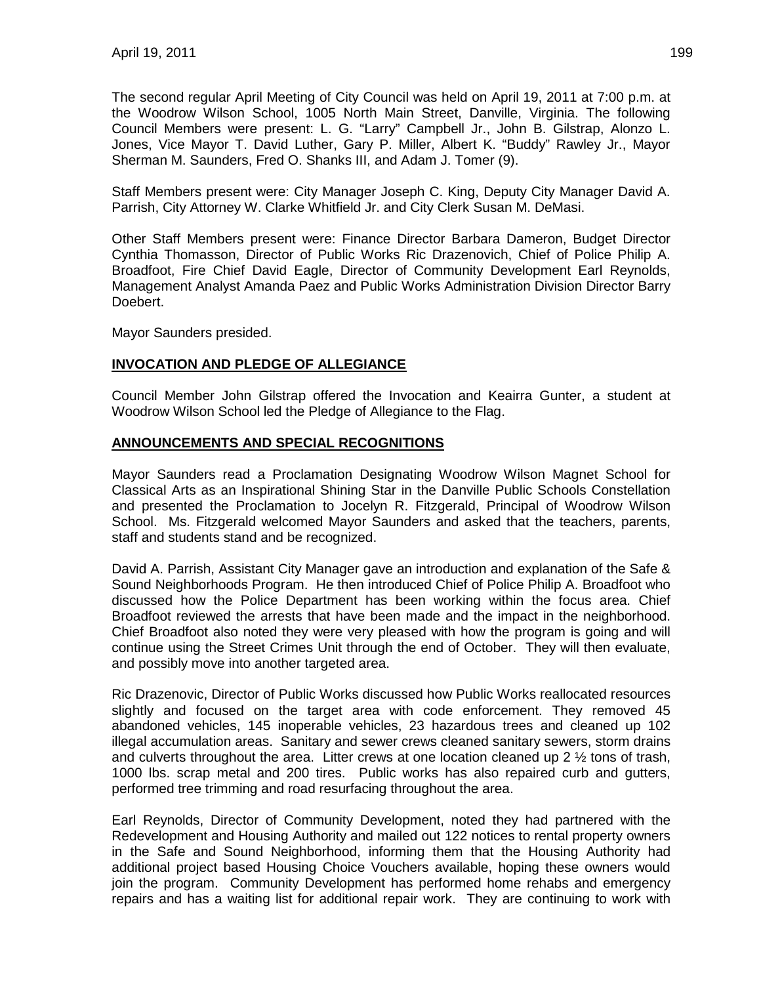The second regular April Meeting of City Council was held on April 19, 2011 at 7:00 p.m. at the Woodrow Wilson School, 1005 North Main Street, Danville, Virginia. The following Council Members were present: L. G. "Larry" Campbell Jr., John B. Gilstrap, Alonzo L. Jones, Vice Mayor T. David Luther, Gary P. Miller, Albert K. "Buddy" Rawley Jr., Mayor Sherman M. Saunders, Fred O. Shanks III, and Adam J. Tomer (9).

Staff Members present were: City Manager Joseph C. King, Deputy City Manager David A. Parrish, City Attorney W. Clarke Whitfield Jr. and City Clerk Susan M. DeMasi.

Other Staff Members present were: Finance Director Barbara Dameron, Budget Director Cynthia Thomasson, Director of Public Works Ric Drazenovich, Chief of Police Philip A. Broadfoot, Fire Chief David Eagle, Director of Community Development Earl Reynolds, Management Analyst Amanda Paez and Public Works Administration Division Director Barry Doebert.

Mayor Saunders presided.

#### **INVOCATION AND PLEDGE OF ALLEGIANCE**

Council Member John Gilstrap offered the Invocation and Keairra Gunter, a student at Woodrow Wilson School led the Pledge of Allegiance to the Flag.

#### **ANNOUNCEMENTS AND SPECIAL RECOGNITIONS**

Mayor Saunders read a Proclamation Designating Woodrow Wilson Magnet School for Classical Arts as an Inspirational Shining Star in the Danville Public Schools Constellation and presented the Proclamation to Jocelyn R. Fitzgerald, Principal of Woodrow Wilson School. Ms. Fitzgerald welcomed Mayor Saunders and asked that the teachers, parents, staff and students stand and be recognized.

David A. Parrish, Assistant City Manager gave an introduction and explanation of the Safe & Sound Neighborhoods Program. He then introduced Chief of Police Philip A. Broadfoot who discussed how the Police Department has been working within the focus area. Chief Broadfoot reviewed the arrests that have been made and the impact in the neighborhood. Chief Broadfoot also noted they were very pleased with how the program is going and will continue using the Street Crimes Unit through the end of October. They will then evaluate, and possibly move into another targeted area.

Ric Drazenovic, Director of Public Works discussed how Public Works reallocated resources slightly and focused on the target area with code enforcement. They removed 45 abandoned vehicles, 145 inoperable vehicles, 23 hazardous trees and cleaned up 102 illegal accumulation areas. Sanitary and sewer crews cleaned sanitary sewers, storm drains and culverts throughout the area. Litter crews at one location cleaned up 2  $\frac{1}{2}$  tons of trash, 1000 lbs. scrap metal and 200 tires. Public works has also repaired curb and gutters, performed tree trimming and road resurfacing throughout the area.

Earl Reynolds, Director of Community Development, noted they had partnered with the Redevelopment and Housing Authority and mailed out 122 notices to rental property owners in the Safe and Sound Neighborhood, informing them that the Housing Authority had additional project based Housing Choice Vouchers available, hoping these owners would join the program. Community Development has performed home rehabs and emergency repairs and has a waiting list for additional repair work. They are continuing to work with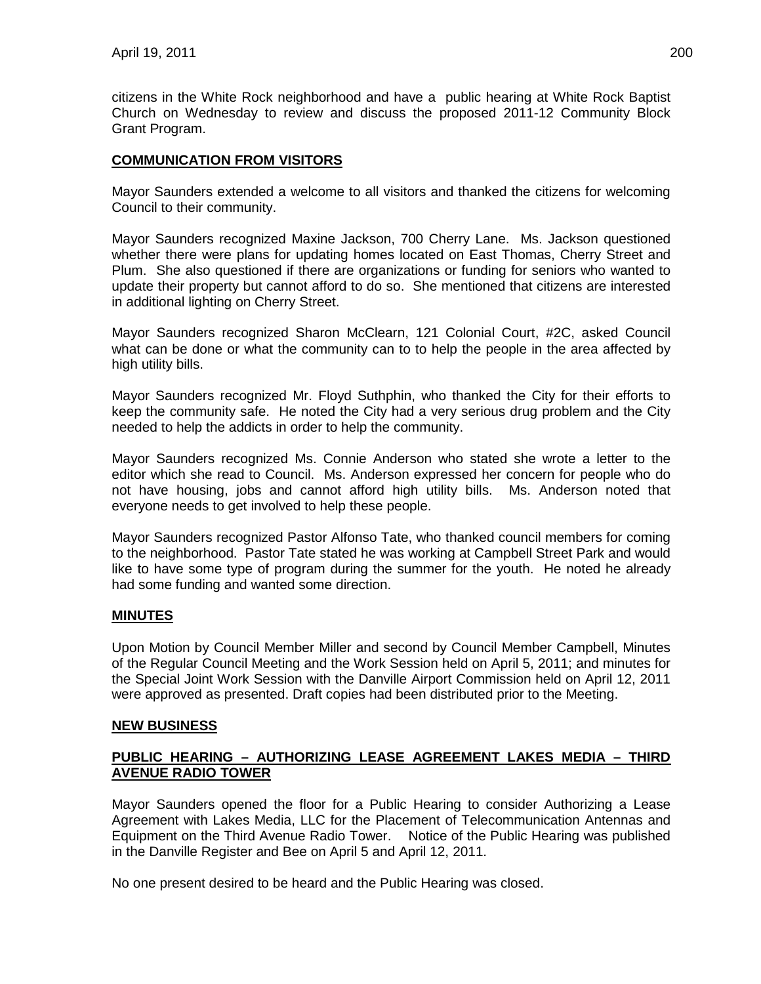citizens in the White Rock neighborhood and have a public hearing at White Rock Baptist Church on Wednesday to review and discuss the proposed 2011-12 Community Block Grant Program.

#### **COMMUNICATION FROM VISITORS**

Mayor Saunders extended a welcome to all visitors and thanked the citizens for welcoming Council to their community.

Mayor Saunders recognized Maxine Jackson, 700 Cherry Lane. Ms. Jackson questioned whether there were plans for updating homes located on East Thomas, Cherry Street and Plum. She also questioned if there are organizations or funding for seniors who wanted to update their property but cannot afford to do so. She mentioned that citizens are interested in additional lighting on Cherry Street.

Mayor Saunders recognized Sharon McClearn, 121 Colonial Court, #2C, asked Council what can be done or what the community can to to help the people in the area affected by high utility bills.

Mayor Saunders recognized Mr. Floyd Suthphin, who thanked the City for their efforts to keep the community safe. He noted the City had a very serious drug problem and the City needed to help the addicts in order to help the community.

Mayor Saunders recognized Ms. Connie Anderson who stated she wrote a letter to the editor which she read to Council. Ms. Anderson expressed her concern for people who do not have housing, jobs and cannot afford high utility bills. Ms. Anderson noted that everyone needs to get involved to help these people.

Mayor Saunders recognized Pastor Alfonso Tate, who thanked council members for coming to the neighborhood. Pastor Tate stated he was working at Campbell Street Park and would like to have some type of program during the summer for the youth. He noted he already had some funding and wanted some direction.

#### **MINUTES**

Upon Motion by Council Member Miller and second by Council Member Campbell, Minutes of the Regular Council Meeting and the Work Session held on April 5, 2011; and minutes for the Special Joint Work Session with the Danville Airport Commission held on April 12, 2011 were approved as presented. Draft copies had been distributed prior to the Meeting.

#### **NEW BUSINESS**

#### **PUBLIC HEARING – AUTHORIZING LEASE AGREEMENT LAKES MEDIA – THIRD AVENUE RADIO TOWER**

Mayor Saunders opened the floor for a Public Hearing to consider Authorizing a Lease Agreement with Lakes Media, LLC for the Placement of Telecommunication Antennas and Equipment on the Third Avenue Radio Tower. Notice of the Public Hearing was published in the Danville Register and Bee on April 5 and April 12, 2011.

No one present desired to be heard and the Public Hearing was closed.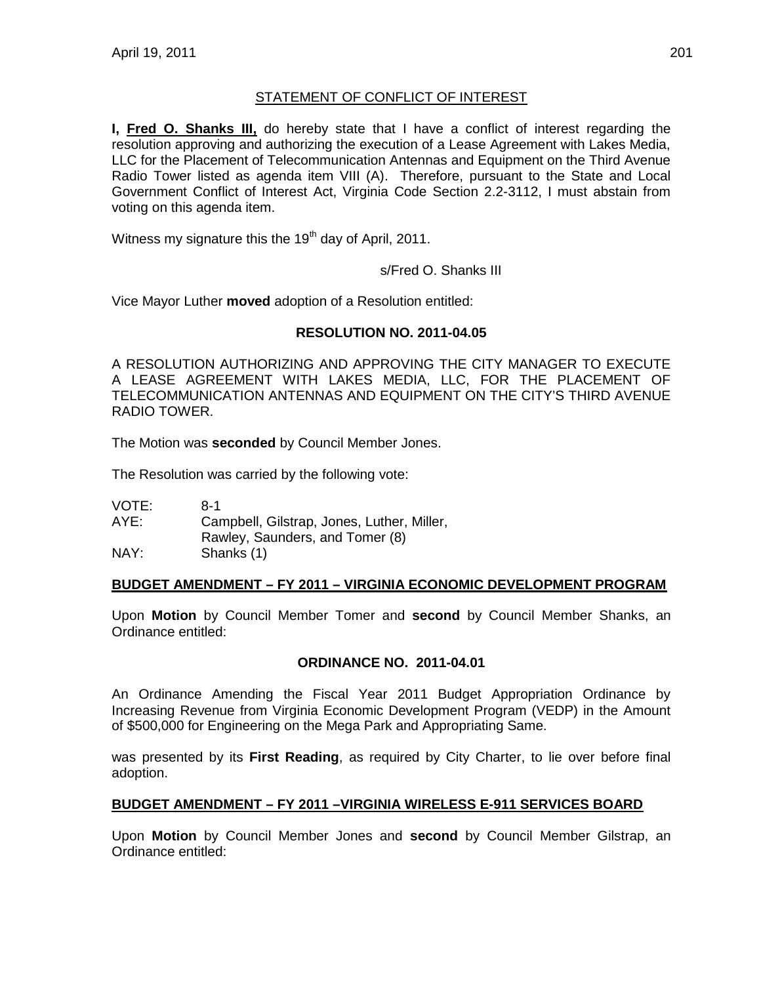# STATEMENT OF CONFLICT OF INTEREST

**I, Fred O. Shanks III,** do hereby state that I have a conflict of interest regarding the resolution approving and authorizing the execution of a Lease Agreement with Lakes Media, LLC for the Placement of Telecommunication Antennas and Equipment on the Third Avenue Radio Tower listed as agenda item VIII (A). Therefore, pursuant to the State and Local Government Conflict of Interest Act, Virginia Code Section 2.2-3112, I must abstain from voting on this agenda item.

Witness my signature this the  $19<sup>th</sup>$  day of April, 2011.

s/Fred O. Shanks III

Vice Mayor Luther **moved** adoption of a Resolution entitled:

### **RESOLUTION NO. 2011-04.05**

A RESOLUTION AUTHORIZING AND APPROVING THE CITY MANAGER TO EXECUTE A LEASE AGREEMENT WITH LAKES MEDIA, LLC, FOR THE PLACEMENT OF TELECOMMUNICATION ANTENNAS AND EQUIPMENT ON THE CITY'S THIRD AVENUE RADIO TOWER.

The Motion was **seconded** by Council Member Jones.

The Resolution was carried by the following vote:

VOTE: 8-1 AYE: Campbell, Gilstrap, Jones, Luther, Miller, Rawley, Saunders, and Tomer (8) NAY: Shanks (1)

# **BUDGET AMENDMENT – FY 2011 – VIRGINIA ECONOMIC DEVELOPMENT PROGRAM**

Upon **Motion** by Council Member Tomer and **second** by Council Member Shanks, an Ordinance entitled:

#### **ORDINANCE NO. 2011-04.01**

An Ordinance Amending the Fiscal Year 2011 Budget Appropriation Ordinance by Increasing Revenue from Virginia Economic Development Program (VEDP) in the Amount of \$500,000 for Engineering on the Mega Park and Appropriating Same.

was presented by its **First Reading**, as required by City Charter, to lie over before final adoption.

# **BUDGET AMENDMENT – FY 2011 –VIRGINIA WIRELESS E-911 SERVICES BOARD**

Upon **Motion** by Council Member Jones and **second** by Council Member Gilstrap, an Ordinance entitled: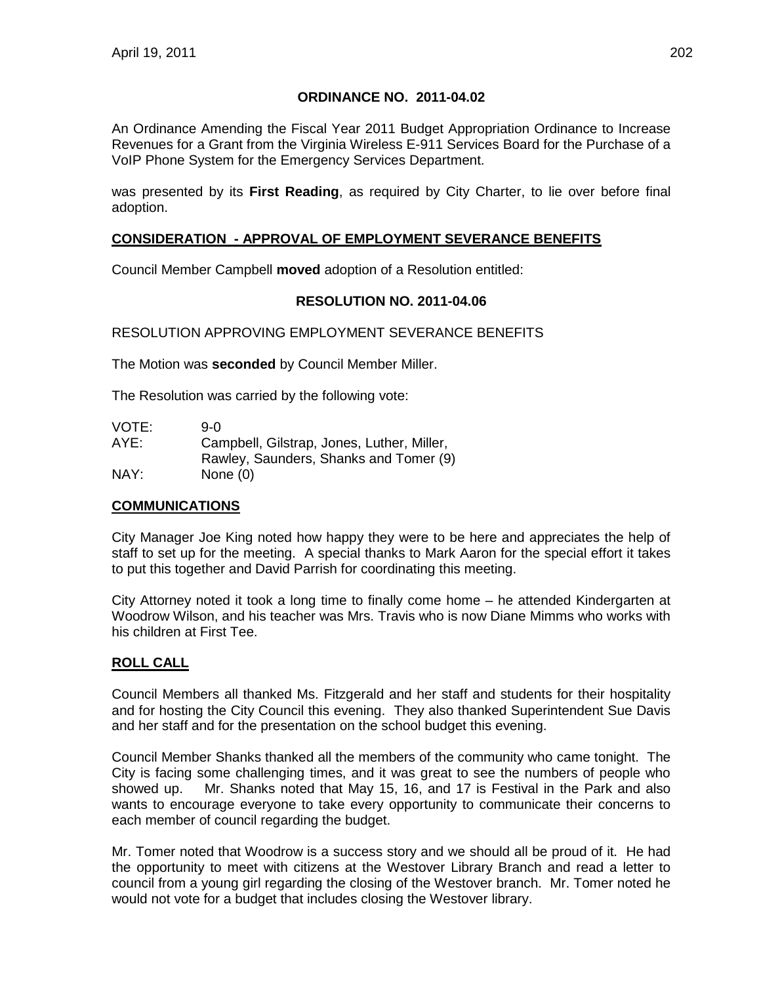### **ORDINANCE NO. 2011-04.02**

An Ordinance Amending the Fiscal Year 2011 Budget Appropriation Ordinance to Increase Revenues for a Grant from the Virginia Wireless E-911 Services Board for the Purchase of a VoIP Phone System for the Emergency Services Department.

was presented by its **First Reading**, as required by City Charter, to lie over before final adoption.

# **CONSIDERATION - APPROVAL OF EMPLOYMENT SEVERANCE BENEFITS**

Council Member Campbell **moved** adoption of a Resolution entitled:

# **RESOLUTION NO. 2011-04.06**

### RESOLUTION APPROVING EMPLOYMENT SEVERANCE BENEFITS

The Motion was **seconded** by Council Member Miller.

The Resolution was carried by the following vote:

| VOTE: | 9-0                                        |
|-------|--------------------------------------------|
| AYE:  | Campbell, Gilstrap, Jones, Luther, Miller, |
|       | Rawley, Saunders, Shanks and Tomer (9)     |
| NAY:  | None $(0)$                                 |

#### **COMMUNICATIONS**

City Manager Joe King noted how happy they were to be here and appreciates the help of staff to set up for the meeting. A special thanks to Mark Aaron for the special effort it takes to put this together and David Parrish for coordinating this meeting.

City Attorney noted it took a long time to finally come home – he attended Kindergarten at Woodrow Wilson, and his teacher was Mrs. Travis who is now Diane Mimms who works with his children at First Tee.

# **ROLL CALL**

Council Members all thanked Ms. Fitzgerald and her staff and students for their hospitality and for hosting the City Council this evening. They also thanked Superintendent Sue Davis and her staff and for the presentation on the school budget this evening.

Council Member Shanks thanked all the members of the community who came tonight. The City is facing some challenging times, and it was great to see the numbers of people who showed up. Mr. Shanks noted that May 15, 16, and 17 is Festival in the Park and also wants to encourage everyone to take every opportunity to communicate their concerns to each member of council regarding the budget.

Mr. Tomer noted that Woodrow is a success story and we should all be proud of it. He had the opportunity to meet with citizens at the Westover Library Branch and read a letter to council from a young girl regarding the closing of the Westover branch. Mr. Tomer noted he would not vote for a budget that includes closing the Westover library.